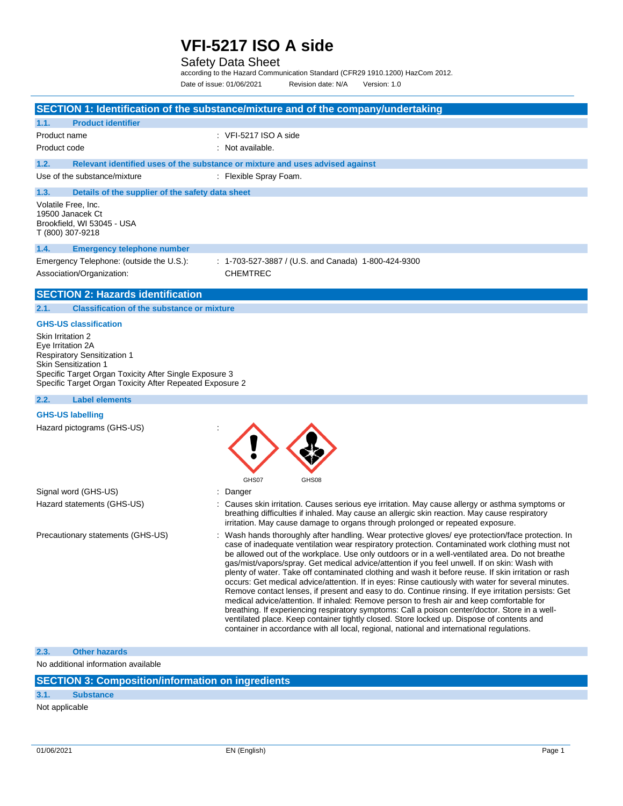### Safety Data Sheet

according to the Hazard Communication Standard (CFR29 1910.1200) HazCom 2012. Date of issue: 01/06/2021 Revision date: N/A Version: 1.0

|                                                                                                                                                                                                                                   | SECTION 1: Identification of the substance/mixture and of the company/undertaking                                                                                                                                                                                                                                                                                                                                                                                                                                                                                                                                                                                                                                                                                                                                                                                                                                                                                                                                                                                                                                     |
|-----------------------------------------------------------------------------------------------------------------------------------------------------------------------------------------------------------------------------------|-----------------------------------------------------------------------------------------------------------------------------------------------------------------------------------------------------------------------------------------------------------------------------------------------------------------------------------------------------------------------------------------------------------------------------------------------------------------------------------------------------------------------------------------------------------------------------------------------------------------------------------------------------------------------------------------------------------------------------------------------------------------------------------------------------------------------------------------------------------------------------------------------------------------------------------------------------------------------------------------------------------------------------------------------------------------------------------------------------------------------|
| <b>Product identifier</b><br>1.1.                                                                                                                                                                                                 |                                                                                                                                                                                                                                                                                                                                                                                                                                                                                                                                                                                                                                                                                                                                                                                                                                                                                                                                                                                                                                                                                                                       |
| Product name                                                                                                                                                                                                                      | $\therefore$ VFI-5217 ISO A side                                                                                                                                                                                                                                                                                                                                                                                                                                                                                                                                                                                                                                                                                                                                                                                                                                                                                                                                                                                                                                                                                      |
| Product code                                                                                                                                                                                                                      | : Not available.                                                                                                                                                                                                                                                                                                                                                                                                                                                                                                                                                                                                                                                                                                                                                                                                                                                                                                                                                                                                                                                                                                      |
| 1.2.                                                                                                                                                                                                                              | Relevant identified uses of the substance or mixture and uses advised against                                                                                                                                                                                                                                                                                                                                                                                                                                                                                                                                                                                                                                                                                                                                                                                                                                                                                                                                                                                                                                         |
| Use of the substance/mixture                                                                                                                                                                                                      | : Flexible Spray Foam.                                                                                                                                                                                                                                                                                                                                                                                                                                                                                                                                                                                                                                                                                                                                                                                                                                                                                                                                                                                                                                                                                                |
| 1.3.<br>Details of the supplier of the safety data sheet                                                                                                                                                                          |                                                                                                                                                                                                                                                                                                                                                                                                                                                                                                                                                                                                                                                                                                                                                                                                                                                                                                                                                                                                                                                                                                                       |
| Volatile Free, Inc.<br>19500 Janacek Ct<br>Brookfield, WI 53045 - USA<br>T (800) 307-9218                                                                                                                                         |                                                                                                                                                                                                                                                                                                                                                                                                                                                                                                                                                                                                                                                                                                                                                                                                                                                                                                                                                                                                                                                                                                                       |
| 1.4.<br><b>Emergency telephone number</b>                                                                                                                                                                                         |                                                                                                                                                                                                                                                                                                                                                                                                                                                                                                                                                                                                                                                                                                                                                                                                                                                                                                                                                                                                                                                                                                                       |
| Emergency Telephone: (outside the U.S.):                                                                                                                                                                                          | : 1-703-527-3887 / (U.S. and Canada) 1-800-424-9300                                                                                                                                                                                                                                                                                                                                                                                                                                                                                                                                                                                                                                                                                                                                                                                                                                                                                                                                                                                                                                                                   |
| Association/Organization:                                                                                                                                                                                                         | <b>CHEMTREC</b>                                                                                                                                                                                                                                                                                                                                                                                                                                                                                                                                                                                                                                                                                                                                                                                                                                                                                                                                                                                                                                                                                                       |
| <b>SECTION 2: Hazards identification</b>                                                                                                                                                                                          |                                                                                                                                                                                                                                                                                                                                                                                                                                                                                                                                                                                                                                                                                                                                                                                                                                                                                                                                                                                                                                                                                                                       |
| <b>Classification of the substance or mixture</b><br>2.1.                                                                                                                                                                         |                                                                                                                                                                                                                                                                                                                                                                                                                                                                                                                                                                                                                                                                                                                                                                                                                                                                                                                                                                                                                                                                                                                       |
| <b>GHS-US classification</b>                                                                                                                                                                                                      |                                                                                                                                                                                                                                                                                                                                                                                                                                                                                                                                                                                                                                                                                                                                                                                                                                                                                                                                                                                                                                                                                                                       |
| Skin Irritation 2<br>Eye Irritation 2A<br><b>Respiratory Sensitization 1</b><br><b>Skin Sensitization 1</b><br>Specific Target Organ Toxicity After Single Exposure 3<br>Specific Target Organ Toxicity After Repeated Exposure 2 |                                                                                                                                                                                                                                                                                                                                                                                                                                                                                                                                                                                                                                                                                                                                                                                                                                                                                                                                                                                                                                                                                                                       |
| 2.2.<br><b>Label elements</b>                                                                                                                                                                                                     |                                                                                                                                                                                                                                                                                                                                                                                                                                                                                                                                                                                                                                                                                                                                                                                                                                                                                                                                                                                                                                                                                                                       |
| <b>GHS-US labelling</b>                                                                                                                                                                                                           |                                                                                                                                                                                                                                                                                                                                                                                                                                                                                                                                                                                                                                                                                                                                                                                                                                                                                                                                                                                                                                                                                                                       |
| Hazard pictograms (GHS-US)                                                                                                                                                                                                        |                                                                                                                                                                                                                                                                                                                                                                                                                                                                                                                                                                                                                                                                                                                                                                                                                                                                                                                                                                                                                                                                                                                       |
|                                                                                                                                                                                                                                   |                                                                                                                                                                                                                                                                                                                                                                                                                                                                                                                                                                                                                                                                                                                                                                                                                                                                                                                                                                                                                                                                                                                       |
|                                                                                                                                                                                                                                   | GHS07<br>GHS08<br>Danger                                                                                                                                                                                                                                                                                                                                                                                                                                                                                                                                                                                                                                                                                                                                                                                                                                                                                                                                                                                                                                                                                              |
| Signal word (GHS-US)<br>Hazard statements (GHS-US)                                                                                                                                                                                | : Causes skin irritation. Causes serious eye irritation. May cause allergy or asthma symptoms or<br>breathing difficulties if inhaled. May cause an allergic skin reaction. May cause respiratory<br>irritation. May cause damage to organs through prolonged or repeated exposure.                                                                                                                                                                                                                                                                                                                                                                                                                                                                                                                                                                                                                                                                                                                                                                                                                                   |
| Precautionary statements (GHS-US)                                                                                                                                                                                                 | Wash hands thoroughly after handling. Wear protective gloves/ eye protection/face protection. In<br>case of inadequate ventilation wear respiratory protection. Contaminated work clothing must not<br>be allowed out of the workplace. Use only outdoors or in a well-ventilated area. Do not breathe<br>gas/mist/vapors/spray. Get medical advice/attention if you feel unwell. If on skin: Wash with<br>plenty of water. Take off contaminated clothing and wash it before reuse. If skin irritation or rash<br>occurs: Get medical advice/attention. If in eyes: Rinse cautiously with water for several minutes.<br>Remove contact lenses, if present and easy to do. Continue rinsing. If eye irritation persists: Get<br>medical advice/attention. If inhaled: Remove person to fresh air and keep comfortable for<br>breathing. If experiencing respiratory symptoms: Call a poison center/doctor. Store in a well-<br>ventilated place. Keep container tightly closed. Store locked up. Dispose of contents and<br>container in accordance with all local, regional, national and international regulations. |
| <b>Other hazards</b><br>2.3.                                                                                                                                                                                                      |                                                                                                                                                                                                                                                                                                                                                                                                                                                                                                                                                                                                                                                                                                                                                                                                                                                                                                                                                                                                                                                                                                                       |

|  | <b>SECTION 3: Composition/information on ingredients/</b> |  |
|--|-----------------------------------------------------------|--|
|--|-----------------------------------------------------------|--|

### **3.1. Substance**

Not applicable

 $\overline{\phantom{a}}$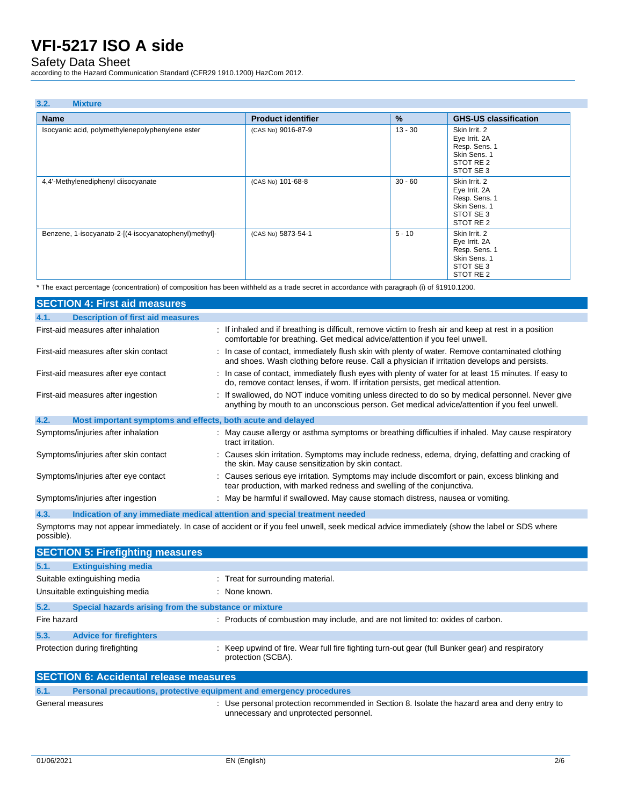Safety Data Sheet

according to the Hazard Communication Standard (CFR29 1910.1200) HazCom 2012.

| 3.2.<br><b>Mixture</b>                                |                           |               |                                                                                                      |
|-------------------------------------------------------|---------------------------|---------------|------------------------------------------------------------------------------------------------------|
| <b>Name</b>                                           | <b>Product identifier</b> | $\frac{9}{6}$ | <b>GHS-US classification</b>                                                                         |
| Isocyanic acid, polymethylenepolyphenylene ester      | (CAS No) 9016-87-9        | $13 - 30$     | Skin Irrit. 2<br>Eye Irrit. 2A<br>Resp. Sens. 1<br>Skin Sens. 1<br>STOT RE 2<br>STOT SE 3            |
| 4,4'-Methylenediphenyl diisocyanate                   | (CAS No) 101-68-8         | $30 - 60$     | Skin Irrit. 2<br>Eye Irrit. 2A<br>Resp. Sens. 1<br>Skin Sens. 1<br>STOT SE 3<br>STOT RE 2            |
| Benzene, 1-isocyanato-2-[(4-isocyanatophenyl)methyl]- | (CAS No) 5873-54-1        | $5 - 10$      | Skin Irrit. 2<br>Eye Irrit. 2A<br>Resp. Sens. 1<br>Skin Sens. 1<br>STOT SE 3<br>STOT RE <sub>2</sub> |

\* The exact percentage (concentration) of composition has been withheld as a trade secret in accordance with paragraph (i) of §1910.1200.

| <b>SECTION 4: First aid measures</b>                                |                                                                                                                                                                                                  |
|---------------------------------------------------------------------|--------------------------------------------------------------------------------------------------------------------------------------------------------------------------------------------------|
| <b>Description of first aid measures</b><br>4.1.                    |                                                                                                                                                                                                  |
| First-aid measures after inhalation                                 | : If inhaled and if breathing is difficult, remove victim to fresh air and keep at rest in a position<br>comfortable for breathing. Get medical advice/attention if you feel unwell.             |
| First-aid measures after skin contact                               | : In case of contact, immediately flush skin with plenty of water. Remove contaminated clothing<br>and shoes. Wash clothing before reuse. Call a physician if irritation develops and persists.  |
| First-aid measures after eye contact                                | : In case of contact, immediately flush eyes with plenty of water for at least 15 minutes. If easy to<br>do, remove contact lenses, if worn. If irritation persists, get medical attention.      |
| First-aid measures after ingestion                                  | : If swallowed, do NOT induce vomiting unless directed to do so by medical personnel. Never give<br>anything by mouth to an unconscious person. Get medical advice/attention if you feel unwell. |
| 4.2.<br>Most important symptoms and effects, both acute and delayed |                                                                                                                                                                                                  |
| Symptoms/injuries after inhalation                                  | : May cause allergy or asthma symptoms or breathing difficulties if inhaled. May cause respiratory<br>tract irritation.                                                                          |
| Symptoms/injuries after skin contact                                | : Causes skin irritation. Symptoms may include redness, edema, drying, defatting and cracking of<br>the skin. May cause sensitization by skin contact.                                           |
| Symptoms/injuries after eye contact                                 | : Causes serious eye irritation. Symptoms may include discomfort or pain, excess blinking and<br>tear production, with marked redness and swelling of the conjunctiva.                           |
| Symptoms/injuries after ingestion                                   | : May be harmful if swallowed. May cause stomach distress, nausea or vomiting.                                                                                                                   |

**4.3. Indication of any immediate medical attention and special treatment needed** Symptoms may not appear immediately. In case of accident or if you feel unwell, seek medical advice immediately (show the label or SDS where possible).

|             | <b>SECTION 5: Firefighting measures</b>               |                                                                                                                       |
|-------------|-------------------------------------------------------|-----------------------------------------------------------------------------------------------------------------------|
| 5.1.        | <b>Extinguishing media</b>                            |                                                                                                                       |
|             | Suitable extinguishing media                          | : Treat for surrounding material.                                                                                     |
|             | Unsuitable extinguishing media                        | : None known.                                                                                                         |
| 5.2.        | Special hazards arising from the substance or mixture |                                                                                                                       |
| Fire hazard |                                                       | : Products of combustion may include, and are not limited to: oxides of carbon.                                       |
| 5.3.        | <b>Advice for firefighters</b>                        |                                                                                                                       |
|             | Protection during firefighting                        | : Keep upwind of fire. Wear full fire fighting turn-out gear (full Bunker gear) and respiratory<br>protection (SCBA). |
|             | <b>SECTION 6: Accidental release measures</b>         |                                                                                                                       |
|             |                                                       |                                                                                                                       |

| 6.1. |                  | Personal precautions, protective equipment and emergency procedures                                                                     |
|------|------------------|-----------------------------------------------------------------------------------------------------------------------------------------|
|      | General measures | : Use personal protection recommended in Section 8. Isolate the hazard area and deny entry to<br>unnecessary and unprotected personnel. |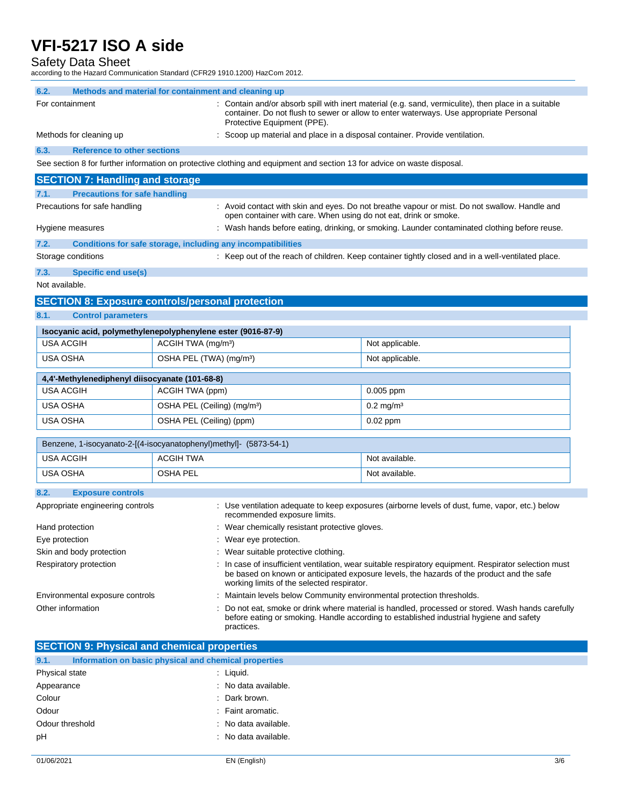Safety Data Sheet

according to the Hazard Communication Standard (CFR29 1910.1200) HazCom 2012.

| 6.2.<br>Methods and material for containment and cleaning up      |                                         |                                                                                                                         |                                                                                                                                                                                                    |
|-------------------------------------------------------------------|-----------------------------------------|-------------------------------------------------------------------------------------------------------------------------|----------------------------------------------------------------------------------------------------------------------------------------------------------------------------------------------------|
| For containment                                                   |                                         | Protective Equipment (PPE).                                                                                             | Contain and/or absorb spill with inert material (e.g. sand, vermiculite), then place in a suitable<br>container. Do not flush to sewer or allow to enter waterways. Use appropriate Personal       |
| Methods for cleaning up                                           |                                         | : Scoop up material and place in a disposal container. Provide ventilation.                                             |                                                                                                                                                                                                    |
| 6.3.<br><b>Reference to other sections</b>                        |                                         |                                                                                                                         |                                                                                                                                                                                                    |
|                                                                   |                                         | See section 8 for further information on protective clothing and equipment and section 13 for advice on waste disposal. |                                                                                                                                                                                                    |
| <b>SECTION 7: Handling and storage</b>                            |                                         |                                                                                                                         |                                                                                                                                                                                                    |
| <b>Precautions for safe handling</b><br>7.1.                      |                                         |                                                                                                                         |                                                                                                                                                                                                    |
| Precautions for safe handling                                     |                                         | open container with care. When using do not eat, drink or smoke.                                                        | : Avoid contact with skin and eyes. Do not breathe vapour or mist. Do not swallow. Handle and                                                                                                      |
| Hygiene measures                                                  |                                         |                                                                                                                         | : Wash hands before eating, drinking, or smoking. Launder contaminated clothing before reuse.                                                                                                      |
| 7.2.                                                              |                                         | Conditions for safe storage, including any incompatibilities                                                            |                                                                                                                                                                                                    |
| Storage conditions                                                |                                         |                                                                                                                         | : Keep out of the reach of children. Keep container tightly closed and in a well-ventilated place.                                                                                                 |
| 7.3.<br><b>Specific end use(s)</b>                                |                                         |                                                                                                                         |                                                                                                                                                                                                    |
| Not available.                                                    |                                         |                                                                                                                         |                                                                                                                                                                                                    |
| <b>SECTION 8: Exposure controls/personal protection</b>           |                                         |                                                                                                                         |                                                                                                                                                                                                    |
| 8.1.<br><b>Control parameters</b>                                 |                                         |                                                                                                                         |                                                                                                                                                                                                    |
| Isocyanic acid, polymethylenepolyphenylene ester (9016-87-9)      |                                         |                                                                                                                         |                                                                                                                                                                                                    |
| <b>USA ACGIH</b>                                                  | ACGIH TWA (mg/m <sup>3</sup> )          |                                                                                                                         | Not applicable.                                                                                                                                                                                    |
| <b>USA OSHA</b>                                                   | OSHA PEL (TWA) (mg/m <sup>3</sup> )     |                                                                                                                         | Not applicable.                                                                                                                                                                                    |
| 4,4'-Methylenediphenyl diisocyanate (101-68-8)                    |                                         |                                                                                                                         |                                                                                                                                                                                                    |
| <b>USA ACGIH</b>                                                  | ACGIH TWA (ppm)                         |                                                                                                                         | $0.005$ ppm                                                                                                                                                                                        |
| <b>USA OSHA</b>                                                   | OSHA PEL (Ceiling) (mg/m <sup>3</sup> ) |                                                                                                                         | $0.2$ mg/m <sup>3</sup>                                                                                                                                                                            |
| <b>USA OSHA</b>                                                   | OSHA PEL (Ceiling) (ppm)                |                                                                                                                         | $0.02$ ppm                                                                                                                                                                                         |
| Benzene, 1-isocyanato-2-[(4-isocyanatophenyl)methyl]- (5873-54-1) |                                         |                                                                                                                         |                                                                                                                                                                                                    |
| <b>USA ACGIH</b>                                                  | <b>ACGIH TWA</b>                        |                                                                                                                         | Not available.                                                                                                                                                                                     |
| USA OSHA                                                          | <b>OSHA PEL</b>                         |                                                                                                                         | Not available.                                                                                                                                                                                     |
|                                                                   |                                         |                                                                                                                         |                                                                                                                                                                                                    |
| 8.2.<br><b>Exposure controls</b>                                  |                                         |                                                                                                                         |                                                                                                                                                                                                    |
| Appropriate engineering controls                                  |                                         | recommended exposure limits.                                                                                            | : Use ventilation adequate to keep exposures (airborne levels of dust, fume, vapor, etc.) below                                                                                                    |
| Hand protection                                                   |                                         | : Wear chemically resistant protective gloves.                                                                          |                                                                                                                                                                                                    |
| Eye protection                                                    |                                         | Wear eye protection.                                                                                                    |                                                                                                                                                                                                    |
| Skin and body protection                                          |                                         | : Wear suitable protective clothing.                                                                                    |                                                                                                                                                                                                    |
| Respiratory protection                                            |                                         | working limits of the selected respirator.                                                                              | : In case of insufficient ventilation, wear suitable respiratory equipment. Respirator selection must<br>be based on known or anticipated exposure levels, the hazards of the product and the safe |
| Environmental exposure controls                                   |                                         | Maintain levels below Community environmental protection thresholds.                                                    |                                                                                                                                                                                                    |
| Other information                                                 |                                         | practices.                                                                                                              | Do not eat, smoke or drink where material is handled, processed or stored. Wash hands carefully<br>before eating or smoking. Handle according to established industrial hygiene and safety         |
| <b>SECTION 9: Physical and chemical properties</b>                |                                         |                                                                                                                         |                                                                                                                                                                                                    |
| 9.1.<br>Information on basic physical and chemical properties     |                                         |                                                                                                                         |                                                                                                                                                                                                    |
| Physical state                                                    |                                         | : Liquid.                                                                                                               |                                                                                                                                                                                                    |
| Appearance                                                        |                                         | : No data available.                                                                                                    |                                                                                                                                                                                                    |
| Colour                                                            |                                         | Dark brown.                                                                                                             |                                                                                                                                                                                                    |
| Odour                                                             |                                         | Faint aromatic.                                                                                                         |                                                                                                                                                                                                    |
| Odour threshold                                                   |                                         | No data available.                                                                                                      |                                                                                                                                                                                                    |
| рH                                                                |                                         | : No data available.                                                                                                    |                                                                                                                                                                                                    |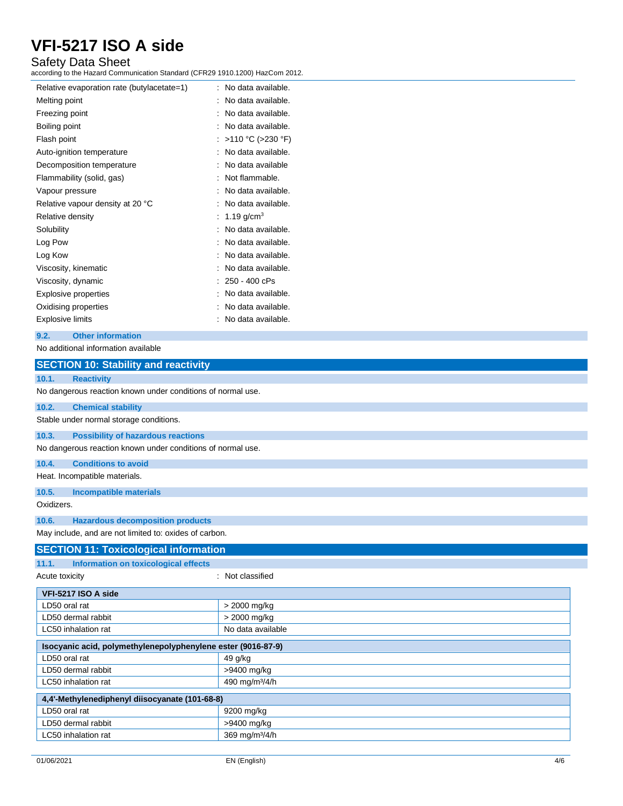### Safety Data Sheet

according to the Hazard Communication Standard (CFR29 1910.1200) HazCom 2012.

| Relative evaporation rate (butylacetate=1) | No data available. |
|--------------------------------------------|--------------------|
| Melting point                              | No data available. |
| Freezing point                             | No data available. |
| Boiling point                              | No data available. |
| Flash point                                | :>110 °C (>230 °F) |
| Auto-ignition temperature                  | No data available. |
| Decomposition temperature                  | No data available  |
| Flammability (solid, gas)                  | Not flammable.     |
| Vapour pressure                            | No data available. |
| Relative vapour density at 20 °C           | No data available. |
| Relative density                           | 1.19 $q/cm^{3}$    |
| Solubility                                 | No data available. |
| Log Pow                                    | No data available. |
| Log Kow                                    | No data available. |
| Viscosity, kinematic                       | No data available. |
| Viscosity, dynamic                         | : 250 - 400 cPs    |
| <b>Explosive properties</b>                | No data available. |
| Oxidising properties                       | No data available. |
| <b>Explosive limits</b>                    | No data available. |

#### **9.2. Other information**

#### No additional information available

| <b>SECTION 10: Stability and reactivity</b>                  |                            |
|--------------------------------------------------------------|----------------------------|
| 10.1.<br><b>Reactivity</b>                                   |                            |
| No dangerous reaction known under conditions of normal use.  |                            |
| 10.2.<br><b>Chemical stability</b>                           |                            |
| Stable under normal storage conditions.                      |                            |
| 10.3.<br><b>Possibility of hazardous reactions</b>           |                            |
| No dangerous reaction known under conditions of normal use.  |                            |
| 10.4.<br><b>Conditions to avoid</b>                          |                            |
| Heat. Incompatible materials.                                |                            |
| 10.5.<br><b>Incompatible materials</b>                       |                            |
| Oxidizers.                                                   |                            |
| <b>Hazardous decomposition products</b><br>10.6.             |                            |
| May include, and are not limited to: oxides of carbon.       |                            |
| <b>SECTION 11: Toxicological information</b>                 |                            |
| 11.1.<br>Information on toxicological effects                |                            |
| Acute toxicity                                               | : Not classified           |
| VFI-5217 ISO A side                                          |                            |
| LD50 oral rat                                                | > 2000 mg/kg               |
| LD50 dermal rabbit                                           | > 2000 mg/kg               |
| LC50 inhalation rat                                          | No data available          |
| Isocyanic acid, polymethylenepolyphenylene ester (9016-87-9) |                            |
| LD50 oral rat                                                | 49 g/kg                    |
| LD50 dermal rabbit                                           | >9400 mg/kg                |
| LC50 inhalation rat                                          | 490 mg/m <sup>3</sup> /4/h |
| 4,4'-Methylenediphenyl diisocyanate (101-68-8)               |                            |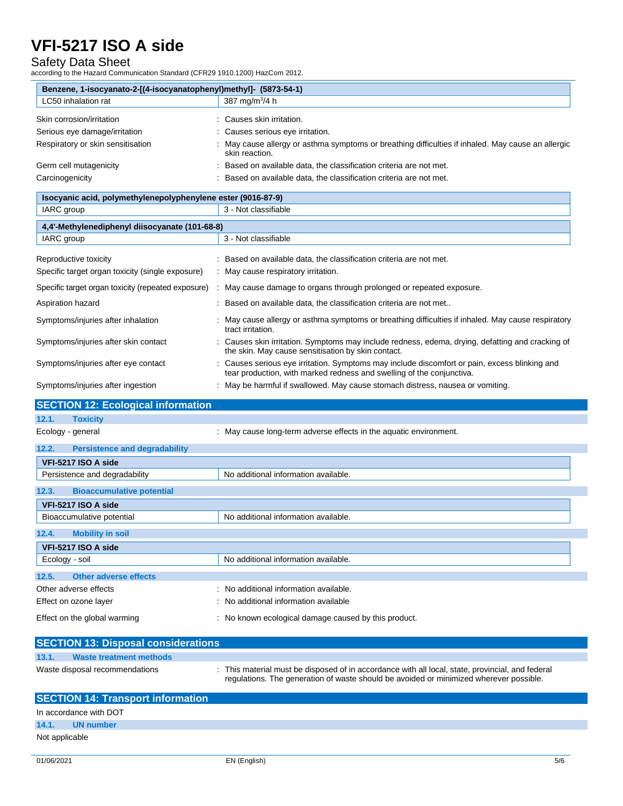### Safety Data Sheet

according to the Hazard Communication Standard (CFR29 1910.1200) HazCom 2012.

| Benzene, 1-isocyanato-2-[(4-isocyanatophenyl)methyl]- (5873-54-1) |                                                                                                                    |  |
|-------------------------------------------------------------------|--------------------------------------------------------------------------------------------------------------------|--|
| LC50 inhalation rat                                               | 387 mg/m $3/4 h$                                                                                                   |  |
| Skin corrosion/irritation                                         | Causes skin irritation.                                                                                            |  |
| Serious eye damage/irritation                                     | : Causes serious eye irritation.                                                                                   |  |
| Respiratory or skin sensitisation                                 | May cause allergy or asthma symptoms or breathing difficulties if inhaled. May cause an allergic<br>skin reaction. |  |
| Germ cell mutagenicity                                            | Based on available data, the classification criteria are not met.                                                  |  |
| Carcinogenicity                                                   | Based on available data, the classification criteria are not met.                                                  |  |

| Isocyanic acid, polymethylenepolyphenylene ester (9016-87-9)              |                                                                                                                                                                      |  |
|---------------------------------------------------------------------------|----------------------------------------------------------------------------------------------------------------------------------------------------------------------|--|
| IARC group                                                                | 3 - Not classifiable                                                                                                                                                 |  |
| 4,4'-Methylenediphenyl diisocyanate (101-68-8)                            |                                                                                                                                                                      |  |
| IARC group                                                                | 3 - Not classifiable                                                                                                                                                 |  |
| Reproductive toxicity<br>Specific target organ toxicity (single exposure) | : Based on available data, the classification criteria are not met.<br>: May cause respiratory irritation.                                                           |  |
| Specific target organ toxicity (repeated exposure)                        | May cause damage to organs through prolonged or repeated exposure.                                                                                                   |  |
| Aspiration hazard                                                         | Based on available data, the classification criteria are not met                                                                                                     |  |
| Symptoms/injuries after inhalation                                        | : May cause allergy or asthma symptoms or breathing difficulties if inhaled. May cause respiratory<br>tract irritation.                                              |  |
| Symptoms/injuries after skin contact                                      | : Causes skin irritation. Symptoms may include redness, edema, drying, defatting and cracking of<br>the skin. May cause sensitisation by skin contact.               |  |
| Symptoms/injuries after eye contact                                       | Causes serious eye irritation. Symptoms may include discomfort or pain, excess blinking and<br>tear production, with marked redness and swelling of the conjunctiva. |  |
| Symptoms/injuries after ingestion                                         | May be harmful if swallowed. May cause stomach distress, nausea or vomiting.                                                                                         |  |

| <b>SECTION 12: Ecological information</b>     |                                                                   |
|-----------------------------------------------|-------------------------------------------------------------------|
| <b>Toxicity</b><br>12.1.                      |                                                                   |
| Ecology - general                             | : May cause long-term adverse effects in the aquatic environment. |
| 12.2.<br><b>Persistence and degradability</b> |                                                                   |
| VFI-5217 ISO A side                           |                                                                   |
| Persistence and degradability                 | No additional information available.                              |
| 12.3.<br><b>Bioaccumulative potential</b>     |                                                                   |
| VFI-5217 ISO A side                           |                                                                   |
| Bioaccumulative potential                     | No additional information available.                              |
| 12.4.<br><b>Mobility in soil</b>              |                                                                   |
| VFI-5217 ISO A side                           |                                                                   |
| Ecology - soil                                | No additional information available.                              |
| Other adverse effects<br>12.5.                |                                                                   |
| Other adverse effects                         | : No additional information available.                            |
| Effect on ozone layer                         | : No additional information available                             |
| Effect on the global warming                  | : No known ecological damage caused by this product.              |

| <b>SECTION 13: Disposal considerations</b> |                                                                                                                                                                                          |
|--------------------------------------------|------------------------------------------------------------------------------------------------------------------------------------------------------------------------------------------|
| 13.1.<br>Waste treatment methods           |                                                                                                                                                                                          |
| Waste disposal recommendations             | This material must be disposed of in accordance with all local, state, provincial, and federal<br>regulations. The generation of waste should be avoided or minimized wherever possible. |

| <b>SECTION 14: Transport information</b> |                        |  |
|------------------------------------------|------------------------|--|
|                                          | In accordance with DOT |  |
|                                          | 14.1. UN number        |  |
| Not applicable                           |                        |  |